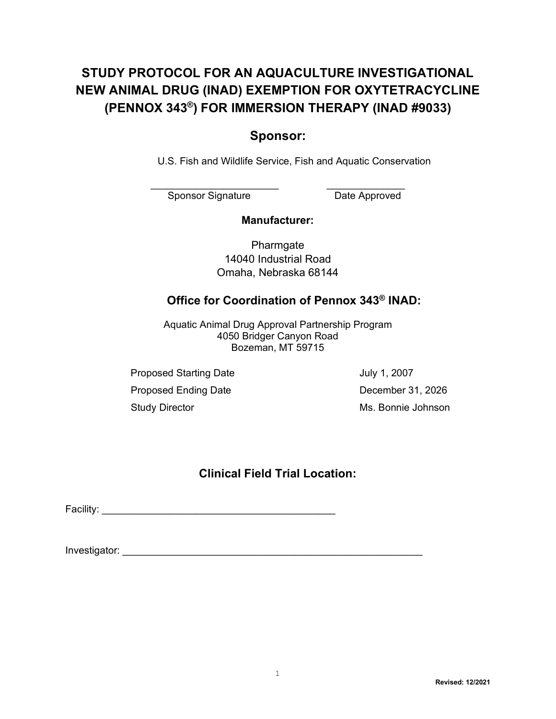## **STUDY PROTOCOL FOR AN AQUACULTURE INVESTIGATIONAL NEW ANIMAL DRUG (INAD) EXEMPTION FOR OXYTETRACYCLINE (PENNOX 343®) FOR IMMERSION THERAPY (INAD #9033)**

## **Sponsor:**

U.S. Fish and Wildlife Service, Fish and Aquatic Conservation

Sponsor Signature Date Approved

\_\_\_\_\_\_\_\_\_\_\_\_\_\_\_\_\_\_\_\_\_\_\_ \_\_\_\_\_\_\_\_\_\_\_\_\_\_

### **Manufacturer:**

**Pharmgate** 14040 Industrial Road Omaha, Nebraska 68144

## **Office for Coordination of Pennox 343® INAD:**

Aquatic Animal Drug Approval Partnership Program 4050 Bridger Canyon Road Bozeman, MT 59715

Proposed Starting Date **July 1, 2007** Proposed Ending Date **December 31, 2026** Study Director **Ms. Bonnie Johnson** 

## **Clinical Field Trial Location:**

Facility: \_\_\_\_\_\_\_\_\_\_\_\_\_\_\_\_\_\_\_\_\_\_\_\_\_\_\_\_\_\_\_\_\_\_\_\_\_\_\_\_\_\_

Investigator: \_\_\_\_\_\_\_\_\_\_\_\_\_\_\_\_\_\_\_\_\_\_\_\_\_\_\_\_\_\_\_\_\_\_\_\_\_\_\_\_\_\_\_\_\_\_\_\_\_\_\_\_\_\_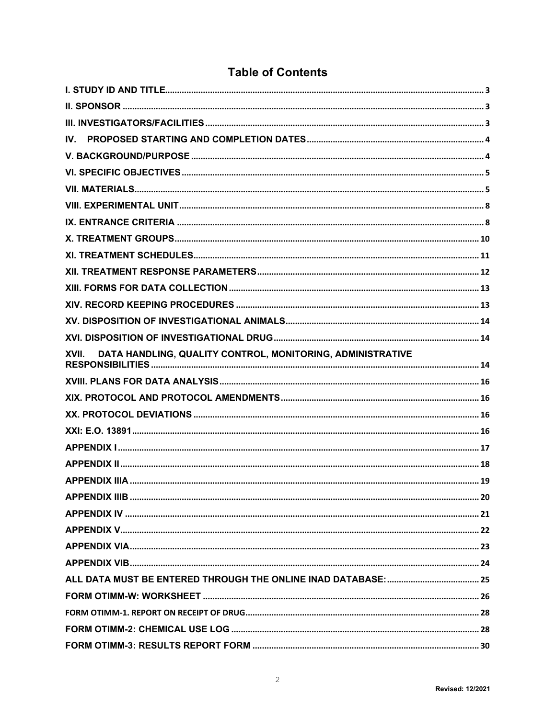| IV.                                                                 |  |
|---------------------------------------------------------------------|--|
|                                                                     |  |
|                                                                     |  |
|                                                                     |  |
|                                                                     |  |
|                                                                     |  |
|                                                                     |  |
|                                                                     |  |
|                                                                     |  |
|                                                                     |  |
|                                                                     |  |
|                                                                     |  |
|                                                                     |  |
| DATA HANDLING, QUALITY CONTROL, MONITORING, ADMINISTRATIVE<br>XVII. |  |
|                                                                     |  |
|                                                                     |  |
|                                                                     |  |
|                                                                     |  |
|                                                                     |  |
|                                                                     |  |
|                                                                     |  |
|                                                                     |  |
|                                                                     |  |
|                                                                     |  |
|                                                                     |  |
|                                                                     |  |
|                                                                     |  |
|                                                                     |  |
|                                                                     |  |
|                                                                     |  |
|                                                                     |  |

## **Table of Contents**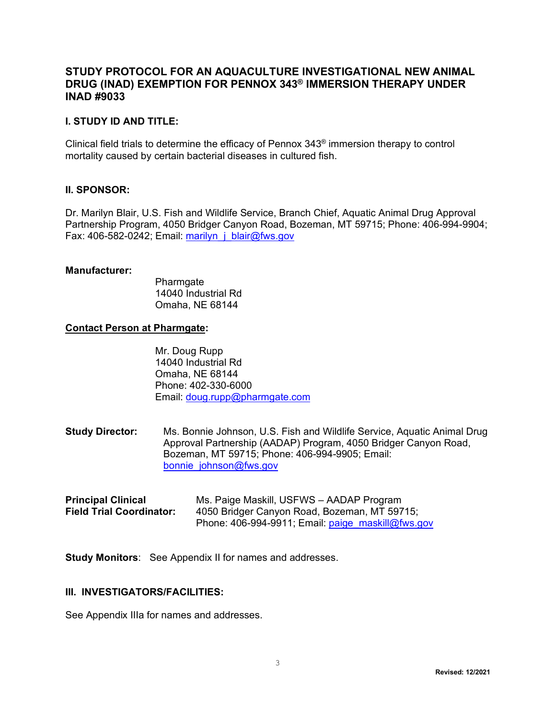### **STUDY PROTOCOL FOR AN AQUACULTURE INVESTIGATIONAL NEW ANIMAL DRUG (INAD) EXEMPTION FOR PENNOX 343® IMMERSION THERAPY UNDER INAD #9033**

### <span id="page-2-0"></span>**I. STUDY ID AND TITLE:**

Clinical field trials to determine the efficacy of Pennox 343® immersion therapy to control mortality caused by certain bacterial diseases in cultured fish.

#### <span id="page-2-1"></span>**II. SPONSOR:**

Dr. Marilyn Blair, U.S. Fish and Wildlife Service, Branch Chief, Aquatic Animal Drug Approval Partnership Program, 4050 Bridger Canyon Road, Bozeman, MT 59715; Phone: 406-994-9904; Fax: 406-582-0242; Email: [marilyn\\_j\\_blair@fws.gov](mailto:marilyn_j_blair@fws.gov)

#### **Manufacturer:**

Pharmgate 14040 Industrial Rd Omaha, NE 68144

#### **Contact Person at Pharmgate:**

Mr. Doug Rupp 14040 Industrial Rd Omaha, NE 68144 Phone: 402-330-6000 Email: doug.rupp@pharmgate.com

**Study Director:** Ms. Bonnie Johnson, U.S. Fish and Wildlife Service, Aquatic Animal Drug Approval Partnership (AADAP) Program, 4050 Bridger Canyon Road, Bozeman, MT 59715; Phone: 406-994-9905; Email: [bonnie\\_johnson@fws.gov](mailto:bonnie_johnson@fws.gov)

| <b>Principal Clinical</b>       | Ms. Paige Maskill, USFWS - AADAP Program               |
|---------------------------------|--------------------------------------------------------|
| <b>Field Trial Coordinator:</b> | 4050 Bridger Canyon Road, Bozeman, MT 59715;           |
|                                 | Phone: $406-994-9911$ ; Email: $paige$ maskill@fws.gov |

**Study Monitors**: See Appendix II for names and addresses.

#### <span id="page-2-2"></span>**III. INVESTIGATORS/FACILITIES:**

See Appendix IIIa for names and addresses.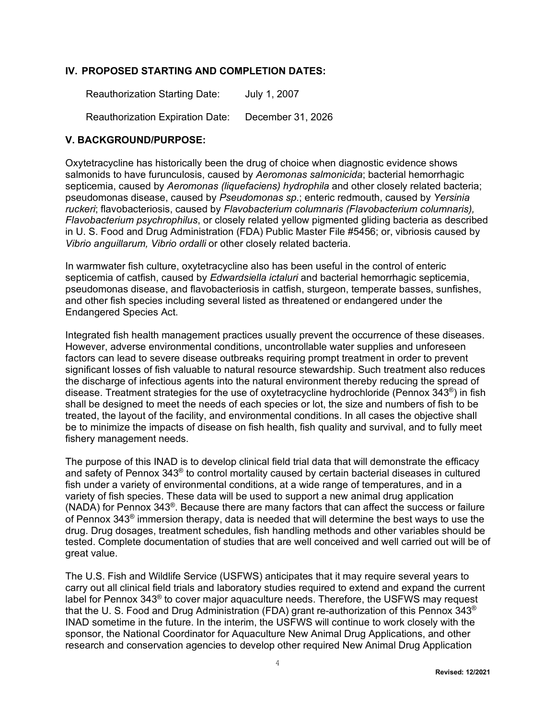### **IV. PROPOSED STARTING AND COMPLETION DATES:**

<span id="page-3-0"></span>Reauthorization Starting Date: July 1, 2007

<span id="page-3-1"></span>Reauthorization Expiration Date: December 31, 2026

### **V. BACKGROUND/PURPOSE:**

Oxytetracycline has historically been the drug of choice when diagnostic evidence shows salmonids to have furunculosis, caused by *Aeromonas salmonicida*; bacterial hemorrhagic septicemia, caused by *Aeromonas (liquefaciens) hydrophila* and other closely related bacteria; pseudomonas disease, caused by *Pseudomonas sp.*; enteric redmouth, caused by *Yersinia ruckeri*; flavobacteriosis, caused by *Flavobacterium columnaris (Flavobacterium columnaris), Flavobacterium psychrophilus*, or closely related yellow pigmented gliding bacteria as described in U. S. Food and Drug Administration (FDA) Public Master File #5456; or, vibriosis caused by *Vibrio anguillarum, Vibrio ordalli* or other closely related bacteria.

In warmwater fish culture, oxytetracycline also has been useful in the control of enteric septicemia of catfish, caused by *Edwardsiella ictaluri* and bacterial hemorrhagic septicemia, pseudomonas disease, and flavobacteriosis in catfish, sturgeon, temperate basses, sunfishes, and other fish species including several listed as threatened or endangered under the Endangered Species Act.

Integrated fish health management practices usually prevent the occurrence of these diseases. However, adverse environmental conditions, uncontrollable water supplies and unforeseen factors can lead to severe disease outbreaks requiring prompt treatment in order to prevent significant losses of fish valuable to natural resource stewardship. Such treatment also reduces the discharge of infectious agents into the natural environment thereby reducing the spread of disease. Treatment strategies for the use of oxytetracycline hydrochloride (Pennox 343®) in fish shall be designed to meet the needs of each species or lot, the size and numbers of fish to be treated, the layout of the facility, and environmental conditions. In all cases the objective shall be to minimize the impacts of disease on fish health, fish quality and survival, and to fully meet fishery management needs.

The purpose of this INAD is to develop clinical field trial data that will demonstrate the efficacy and safety of Pennox 343® to control mortality caused by certain bacterial diseases in cultured fish under a variety of environmental conditions, at a wide range of temperatures, and in a variety of fish species. These data will be used to support a new animal drug application (NADA) for Pennox 343®. Because there are many factors that can affect the success or failure of Pennox 343® immersion therapy, data is needed that will determine the best ways to use the drug. Drug dosages, treatment schedules, fish handling methods and other variables should be tested. Complete documentation of studies that are well conceived and well carried out will be of great value.

The U.S. Fish and Wildlife Service (USFWS) anticipates that it may require several years to carry out all clinical field trials and laboratory studies required to extend and expand the current label for Pennox 343<sup>®</sup> to cover major aquaculture needs. Therefore, the USFWS may request that the U. S. Food and Drug Administration (FDA) grant re-authorization of this Pennox 343® INAD sometime in the future. In the interim, the USFWS will continue to work closely with the sponsor, the National Coordinator for Aquaculture New Animal Drug Applications, and other research and conservation agencies to develop other required New Animal Drug Application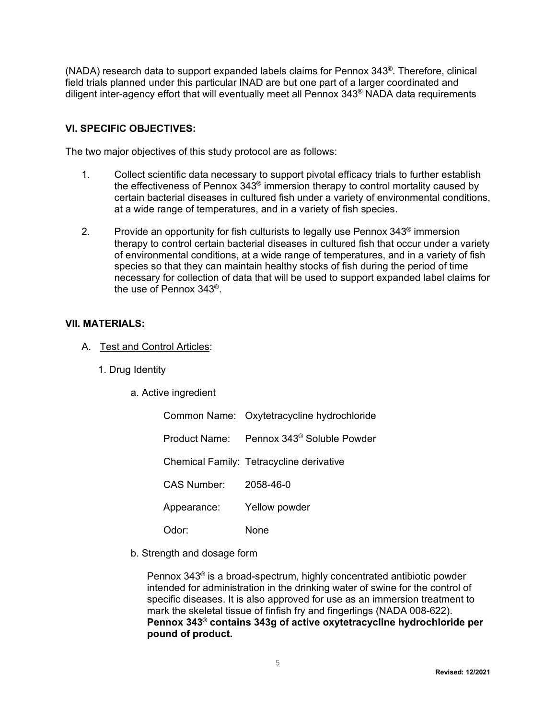(NADA) research data to support expanded labels claims for Pennox 343®. Therefore, clinical field trials planned under this particular INAD are but one part of a larger coordinated and diligent inter-agency effort that will eventually meet all Pennox 343® NADA data requirements

### **VI. SPECIFIC OBJECTIVES:**

The two major objectives of this study protocol are as follows:

- <span id="page-4-0"></span>1. Collect scientific data necessary to support pivotal efficacy trials to further establish the effectiveness of Pennox 343® immersion therapy to control mortality caused by certain bacterial diseases in cultured fish under a variety of environmental conditions, at a wide range of temperatures, and in a variety of fish species.
- 2. Provide an opportunity for fish culturists to legally use Pennox 343® immersion therapy to control certain bacterial diseases in cultured fish that occur under a variety of environmental conditions, at a wide range of temperatures, and in a variety of fish species so that they can maintain healthy stocks of fish during the period of time necessary for collection of data that will be used to support expanded label claims for the use of Pennox 343®.

#### **VII. MATERIALS:**

- <span id="page-4-1"></span>A. Test and Control Articles:
	- 1. Drug Identity
		- a. Active ingredient

|                       | Common Name: Oxytetracycline hydrochloride           |
|-----------------------|------------------------------------------------------|
|                       | Product Name: Pennox 343 <sup>®</sup> Soluble Powder |
|                       | Chemical Family: Tetracycline derivative             |
| CAS Number: 2058-46-0 |                                                      |
| Appearance:           | Yellow powder                                        |
| Odor:                 | None                                                 |

b. Strength and dosage form

Pennox 343® is a broad-spectrum, highly concentrated antibiotic powder intended for administration in the drinking water of swine for the control of specific diseases. It is also approved for use as an immersion treatment to mark the skeletal tissue of finfish fry and fingerlings (NADA 008-622). **Pennox 343® contains 343g of active oxytetracycline hydrochloride per pound of product.**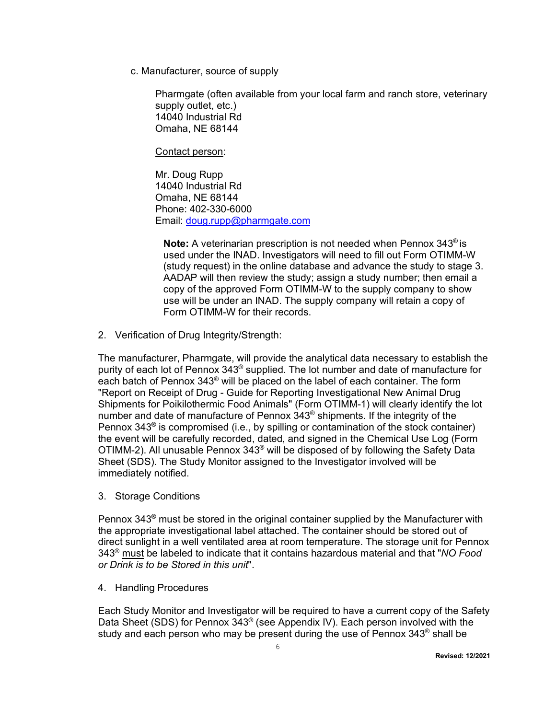c. Manufacturer, source of supply

Pharmgate (often available from your local farm and ranch store, veterinary supply outlet, etc.) 14040 Industrial Rd Omaha, NE 68144

Contact person:

Mr. Doug Rupp 14040 Industrial Rd Omaha, NE 68144 Phone: 402-330-6000 Email: [doug.rupp@pharmgate.com](mailto:doug.rupp@pharmgate.com)

**Note:** A veterinarian prescription is not needed when Pennox 343® is used under the INAD. Investigators will need to fill out Form OTIMM-W (study request) in the online database and advance the study to stage 3. AADAP will then review the study; assign a study number; then email a copy of the approved Form OTIMM-W to the supply company to show use will be under an INAD. The supply company will retain a copy of Form OTIMM-W for their records.

2. Verification of Drug Integrity/Strength:

The manufacturer, Pharmgate, will provide the analytical data necessary to establish the purity of each lot of Pennox 343® supplied. The lot number and date of manufacture for each batch of Pennox 343® will be placed on the label of each container. The form "Report on Receipt of Drug - Guide for Reporting Investigational New Animal Drug Shipments for Poikilothermic Food Animals" (Form OTIMM-1) will clearly identify the lot number and date of manufacture of Pennox 343® shipments. If the integrity of the Pennox  $343^\circ$  is compromised (i.e., by spilling or contamination of the stock container) the event will be carefully recorded, dated, and signed in the Chemical Use Log (Form OTIMM-2). All unusable Pennox 343® will be disposed of by following the Safety Data Sheet (SDS). The Study Monitor assigned to the Investigator involved will be immediately notified.

3. Storage Conditions

Pennox 343<sup>®</sup> must be stored in the original container supplied by the Manufacturer with the appropriate investigational label attached. The container should be stored out of direct sunlight in a well ventilated area at room temperature. The storage unit for Pennox 343® must be labeled to indicate that it contains hazardous material and that "*NO Food or Drink is to be Stored in this unit*".

4. Handling Procedures

Each Study Monitor and Investigator will be required to have a current copy of the Safety Data Sheet (SDS) for Pennox 343® (see Appendix IV). Each person involved with the study and each person who may be present during the use of Pennox  $343^{\circ}$  shall be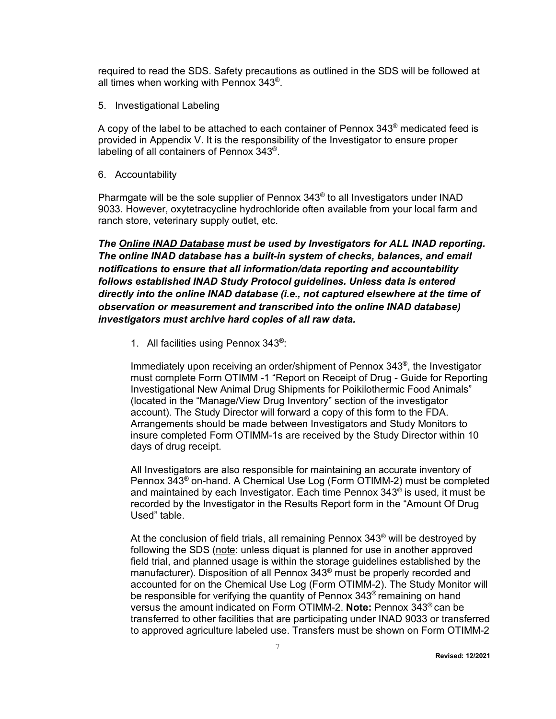required to read the SDS. Safety precautions as outlined in the SDS will be followed at all times when working with Pennox  $343^{\circ}$ .

5. Investigational Labeling

A copy of the label to be attached to each container of Pennox  $343^{\circ}$  medicated feed is provided in Appendix V. It is the responsibility of the Investigator to ensure proper labeling of all containers of Pennox 343®.

6. Accountability

Pharmgate will be the sole supplier of Pennox 343® to all Investigators under INAD 9033. However, oxytetracycline hydrochloride often available from your local farm and ranch store, veterinary supply outlet, etc.

*The Online INAD Database must be used by Investigators for ALL INAD reporting. The online INAD database has a built-in system of checks, balances, and email notifications to ensure that all information/data reporting and accountability follows established INAD Study Protocol guidelines. Unless data is entered directly into the online INAD database (i.e., not captured elsewhere at the time of observation or measurement and transcribed into the online INAD database) investigators must archive hard copies of all raw data.*

1. All facilities using Pennox 343®:

Immediately upon receiving an order/shipment of Pennox 343®, the Investigator must complete Form OTIMM -1 "Report on Receipt of Drug - Guide for Reporting Investigational New Animal Drug Shipments for Poikilothermic Food Animals" (located in the "Manage/View Drug Inventory" section of the investigator account). The Study Director will forward a copy of this form to the FDA. Arrangements should be made between Investigators and Study Monitors to insure completed Form OTIMM-1s are received by the Study Director within 10 days of drug receipt.

All Investigators are also responsible for maintaining an accurate inventory of Pennox 343® on-hand. A Chemical Use Log (Form OTIMM-2) must be completed and maintained by each Investigator. Each time Pennox 343® is used, it must be recorded by the Investigator in the Results Report form in the "Amount Of Drug Used" table.

At the conclusion of field trials, all remaining Pennox  $343^{\circ}$  will be destroyed by following the SDS (note: unless diquat is planned for use in another approved field trial, and planned usage is within the storage guidelines established by the manufacturer). Disposition of all Pennox 343® must be properly recorded and accounted for on the Chemical Use Log (Form OTIMM-2). The Study Monitor will be responsible for verifying the quantity of Pennox 343<sup>®</sup> remaining on hand versus the amount indicated on Form OTIMM-2. **Note:** Pennox 343® can be transferred to other facilities that are participating under INAD 9033 or transferred to approved agriculture labeled use. Transfers must be shown on Form OTIMM-2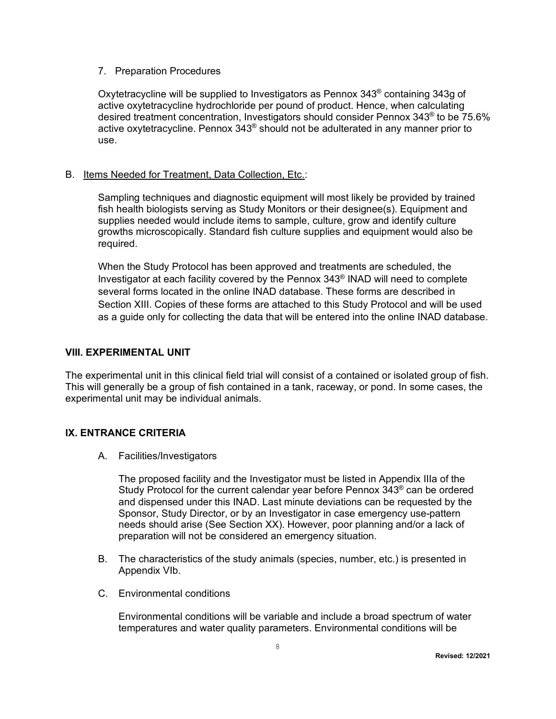#### 7. Preparation Procedures

Oxytetracycline will be supplied to Investigators as Pennox  $343^{\circ}$  containing 343g of active oxytetracycline hydrochloride per pound of product. Hence, when calculating desired treatment concentration, Investigators should consider Pennox 343® to be 75.6% active oxytetracycline. Pennox  $343^{\circ}$  should not be adulterated in any manner prior to use.

### B. Items Needed for Treatment, Data Collection, Etc.:

Sampling techniques and diagnostic equipment will most likely be provided by trained fish health biologists serving as Study Monitors or their designee(s). Equipment and supplies needed would include items to sample, culture, grow and identify culture growths microscopically. Standard fish culture supplies and equipment would also be required.

When the Study Protocol has been approved and treatments are scheduled, the Investigator at each facility covered by the Pennox 343® INAD will need to complete several forms located in the online INAD database. These forms are described in Section XIII. Copies of these forms are attached to this Study Protocol and will be used as a guide only for collecting the data that will be entered into the online INAD database.

### <span id="page-7-0"></span>**VIII. EXPERIMENTAL UNIT**

The experimental unit in this clinical field trial will consist of a contained or isolated group of fish. This will generally be a group of fish contained in a tank, raceway, or pond. In some cases, the experimental unit may be individual animals.

### **IX. ENTRANCE CRITERIA**

A. Facilities/Investigators

<span id="page-7-1"></span>The proposed facility and the Investigator must be listed in Appendix IIIa of the Study Protocol for the current calendar year before Pennox 343® can be ordered and dispensed under this INAD. Last minute deviations can be requested by the Sponsor, Study Director, or by an Investigator in case emergency use-pattern needs should arise (See Section XX). However, poor planning and/or a lack of preparation will not be considered an emergency situation.

- B. The characteristics of the study animals (species, number, etc.) is presented in Appendix VIb.
- C. Environmental conditions

Environmental conditions will be variable and include a broad spectrum of water temperatures and water quality parameters. Environmental conditions will be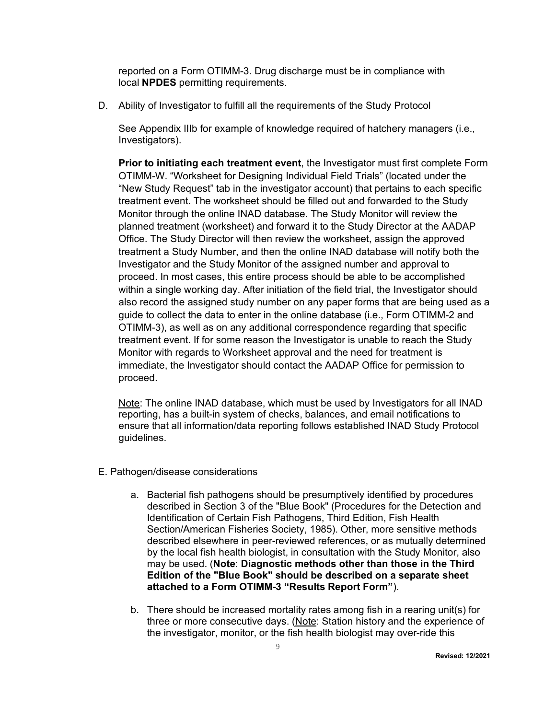reported on a Form OTIMM-3. Drug discharge must be in compliance with local **NPDES** permitting requirements.

D. Ability of Investigator to fulfill all the requirements of the Study Protocol

See Appendix IIIb for example of knowledge required of hatchery managers (i.e., Investigators).

**Prior to initiating each treatment event**, the Investigator must first complete Form OTIMM-W. "Worksheet for Designing Individual Field Trials" (located under the "New Study Request" tab in the investigator account) that pertains to each specific treatment event. The worksheet should be filled out and forwarded to the Study Monitor through the online INAD database. The Study Monitor will review the planned treatment (worksheet) and forward it to the Study Director at the AADAP Office. The Study Director will then review the worksheet, assign the approved treatment a Study Number, and then the online INAD database will notify both the Investigator and the Study Monitor of the assigned number and approval to proceed. In most cases, this entire process should be able to be accomplished within a single working day. After initiation of the field trial, the Investigator should also record the assigned study number on any paper forms that are being used as a guide to collect the data to enter in the online database (i.e., Form OTIMM-2 and OTIMM-3), as well as on any additional correspondence regarding that specific treatment event. If for some reason the Investigator is unable to reach the Study Monitor with regards to Worksheet approval and the need for treatment is immediate, the Investigator should contact the AADAP Office for permission to proceed.

Note: The online INAD database, which must be used by Investigators for all INAD reporting, has a built-in system of checks, balances, and email notifications to ensure that all information/data reporting follows established INAD Study Protocol guidelines.

- E. Pathogen/disease considerations
	- a. Bacterial fish pathogens should be presumptively identified by procedures described in Section 3 of the "Blue Book" (Procedures for the Detection and Identification of Certain Fish Pathogens, Third Edition, Fish Health Section/American Fisheries Society, 1985). Other, more sensitive methods described elsewhere in peer-reviewed references, or as mutually determined by the local fish health biologist, in consultation with the Study Monitor, also may be used. (**Note**: **Diagnostic methods other than those in the Third Edition of the "Blue Book" should be described on a separate sheet attached to a Form OTIMM-3 "Results Report Form"**).
	- b. There should be increased mortality rates among fish in a rearing unit(s) for three or more consecutive days. (Note: Station history and the experience of the investigator, monitor, or the fish health biologist may over-ride this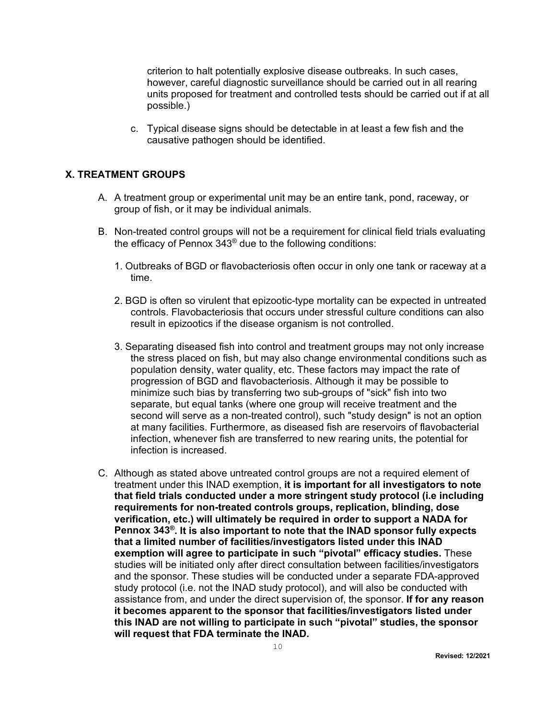criterion to halt potentially explosive disease outbreaks. In such cases, however, careful diagnostic surveillance should be carried out in all rearing units proposed for treatment and controlled tests should be carried out if at all possible.)

<span id="page-9-0"></span>c. Typical disease signs should be detectable in at least a few fish and the causative pathogen should be identified.

#### **X. TREATMENT GROUPS**

- A. A treatment group or experimental unit may be an entire tank, pond, raceway, or group of fish, or it may be individual animals.
- B. Non-treated control groups will not be a requirement for clinical field trials evaluating the efficacy of Pennox 343® due to the following conditions:
	- 1. Outbreaks of BGD or flavobacteriosis often occur in only one tank or raceway at a time.
	- 2. BGD is often so virulent that epizootic-type mortality can be expected in untreated controls. Flavobacteriosis that occurs under stressful culture conditions can also result in epizootics if the disease organism is not controlled.
	- 3. Separating diseased fish into control and treatment groups may not only increase the stress placed on fish, but may also change environmental conditions such as population density, water quality, etc. These factors may impact the rate of progression of BGD and flavobacteriosis. Although it may be possible to minimize such bias by transferring two sub-groups of "sick" fish into two separate, but equal tanks (where one group will receive treatment and the second will serve as a non-treated control), such "study design" is not an option at many facilities. Furthermore, as diseased fish are reservoirs of flavobacterial infection, whenever fish are transferred to new rearing units, the potential for infection is increased.
- C. Although as stated above untreated control groups are not a required element of treatment under this INAD exemption, **it is important for all investigators to note that field trials conducted under a more stringent study protocol (i.e including requirements for non-treated controls groups, replication, blinding, dose verification, etc.) will ultimately be required in order to support a NADA for Pennox 343®. It is also important to note that the INAD sponsor fully expects that a limited number of facilities/investigators listed under this INAD exemption will agree to participate in such "pivotal" efficacy studies.** These studies will be initiated only after direct consultation between facilities/investigators and the sponsor. These studies will be conducted under a separate FDA-approved study protocol (i.e. not the INAD study protocol), and will also be conducted with assistance from, and under the direct supervision of, the sponsor. **If for any reason it becomes apparent to the sponsor that facilities/investigators listed under this INAD are not willing to participate in such "pivotal" studies, the sponsor will request that FDA terminate the INAD.**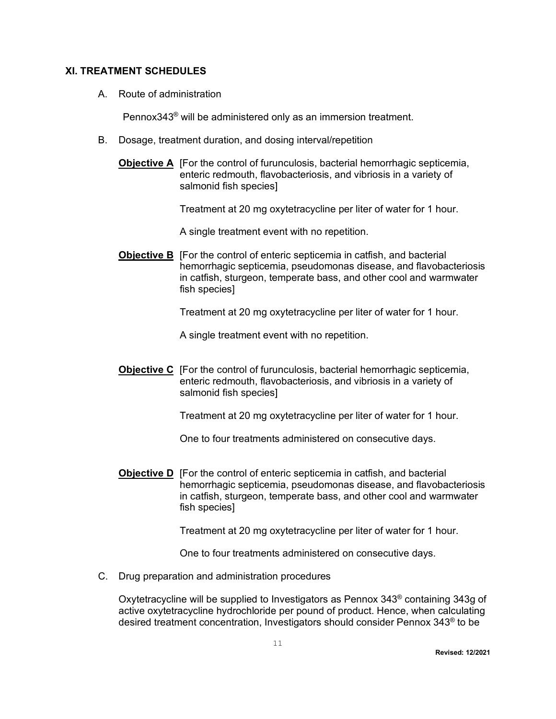### **XI. TREATMENT SCHEDULES**

A. Route of administration

<span id="page-10-0"></span>Pennox343® will be administered only as an immersion treatment.

- B. Dosage, treatment duration, and dosing interval/repetition
	- **Objective A** [For the control of furunculosis, bacterial hemorrhagic septicemia, enteric redmouth, flavobacteriosis, and vibriosis in a variety of salmonid fish species]

Treatment at 20 mg oxytetracycline per liter of water for 1 hour.

A single treatment event with no repetition.

**Objective B** [For the control of enteric septicemia in catfish, and bacterial hemorrhagic septicemia, pseudomonas disease, and flavobacteriosis in catfish, sturgeon, temperate bass, and other cool and warmwater fish species]

Treatment at 20 mg oxytetracycline per liter of water for 1 hour.

A single treatment event with no repetition.

**Objective C** [For the control of furunculosis, bacterial hemorrhagic septicemia, enteric redmouth, flavobacteriosis, and vibriosis in a variety of salmonid fish species]

Treatment at 20 mg oxytetracycline per liter of water for 1 hour.

One to four treatments administered on consecutive days.

**Objective D** [For the control of enteric septicemia in catfish, and bacterial hemorrhagic septicemia, pseudomonas disease, and flavobacteriosis in catfish, sturgeon, temperate bass, and other cool and warmwater fish species]

Treatment at 20 mg oxytetracycline per liter of water for 1 hour.

One to four treatments administered on consecutive days.

C. Drug preparation and administration procedures

Oxytetracycline will be supplied to Investigators as Pennox  $343^{\circ}$  containing 343g of active oxytetracycline hydrochloride per pound of product. Hence, when calculating desired treatment concentration, Investigators should consider Pennox 343® to be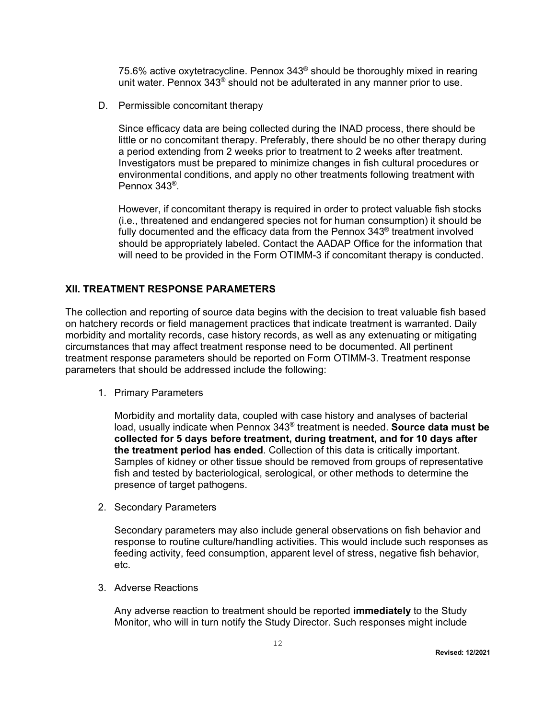75.6% active oxytetracycline. Pennox 343® should be thoroughly mixed in rearing unit water. Pennox 343® should not be adulterated in any manner prior to use.

D. Permissible concomitant therapy

Since efficacy data are being collected during the INAD process, there should be little or no concomitant therapy. Preferably, there should be no other therapy during a period extending from 2 weeks prior to treatment to 2 weeks after treatment. Investigators must be prepared to minimize changes in fish cultural procedures or environmental conditions, and apply no other treatments following treatment with Pennox 343®.

<span id="page-11-0"></span>However, if concomitant therapy is required in order to protect valuable fish stocks (i.e., threatened and endangered species not for human consumption) it should be fully documented and the efficacy data from the Pennox  $343^{\circ}$  treatment involved should be appropriately labeled. Contact the AADAP Office for the information that will need to be provided in the Form OTIMM-3 if concomitant therapy is conducted.

### **XII. TREATMENT RESPONSE PARAMETERS**

The collection and reporting of source data begins with the decision to treat valuable fish based on hatchery records or field management practices that indicate treatment is warranted. Daily morbidity and mortality records, case history records, as well as any extenuating or mitigating circumstances that may affect treatment response need to be documented. All pertinent treatment response parameters should be reported on Form OTIMM-3. Treatment response parameters that should be addressed include the following:

1. Primary Parameters

Morbidity and mortality data, coupled with case history and analyses of bacterial load, usually indicate when Pennox 343® treatment is needed. **Source data must be collected for 5 days before treatment, during treatment, and for 10 days after the treatment period has ended**. Collection of this data is critically important. Samples of kidney or other tissue should be removed from groups of representative fish and tested by bacteriological, serological, or other methods to determine the presence of target pathogens.

2. Secondary Parameters

Secondary parameters may also include general observations on fish behavior and response to routine culture/handling activities. This would include such responses as feeding activity, feed consumption, apparent level of stress, negative fish behavior, etc.

3. Adverse Reactions

Any adverse reaction to treatment should be reported **immediately** to the Study Monitor, who will in turn notify the Study Director. Such responses might include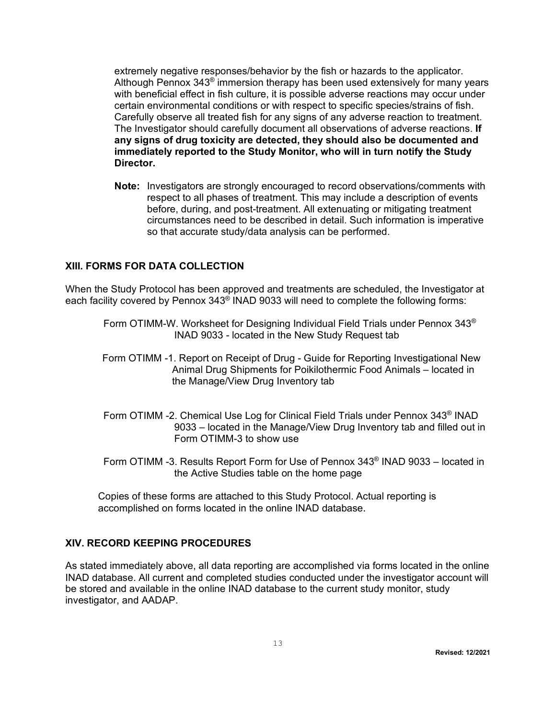extremely negative responses/behavior by the fish or hazards to the applicator. Although Pennox  $343^{\circ}$  immersion therapy has been used extensively for many years with beneficial effect in fish culture, it is possible adverse reactions may occur under certain environmental conditions or with respect to specific species/strains of fish. Carefully observe all treated fish for any signs of any adverse reaction to treatment. The Investigator should carefully document all observations of adverse reactions. **If any signs of drug toxicity are detected, they should also be documented and immediately reported to the Study Monitor, who will in turn notify the Study Director.**

<span id="page-12-0"></span>**Note:** Investigators are strongly encouraged to record observations/comments with respect to all phases of treatment. This may include a description of events before, during, and post-treatment. All extenuating or mitigating treatment circumstances need to be described in detail. Such information is imperative so that accurate study/data analysis can be performed.

### **XIII. FORMS FOR DATA COLLECTION**

When the Study Protocol has been approved and treatments are scheduled, the Investigator at each facility covered by Pennox 343® INAD 9033 will need to complete the following forms:

- Form OTIMM-W. Worksheet for Designing Individual Field Trials under Pennox 343® INAD 9033 - located in the New Study Request tab
- Form OTIMM -1. Report on Receipt of Drug Guide for Reporting Investigational New Animal Drug Shipments for Poikilothermic Food Animals – located in the Manage/View Drug Inventory tab
- Form OTIMM -2. Chemical Use Log for Clinical Field Trials under Pennox 343® INAD 9033 – located in the Manage/View Drug Inventory tab and filled out in Form OTIMM-3 to show use
- Form OTIMM -3. Results Report Form for Use of Pennox 343® INAD 9033 located in the Active Studies table on the home page

<span id="page-12-1"></span>Copies of these forms are attached to this Study Protocol. Actual reporting is accomplished on forms located in the online INAD database.

#### **XIV. RECORD KEEPING PROCEDURES**

As stated immediately above, all data reporting are accomplished via forms located in the online INAD database. All current and completed studies conducted under the investigator account will be stored and available in the online INAD database to the current study monitor, study investigator, and AADAP.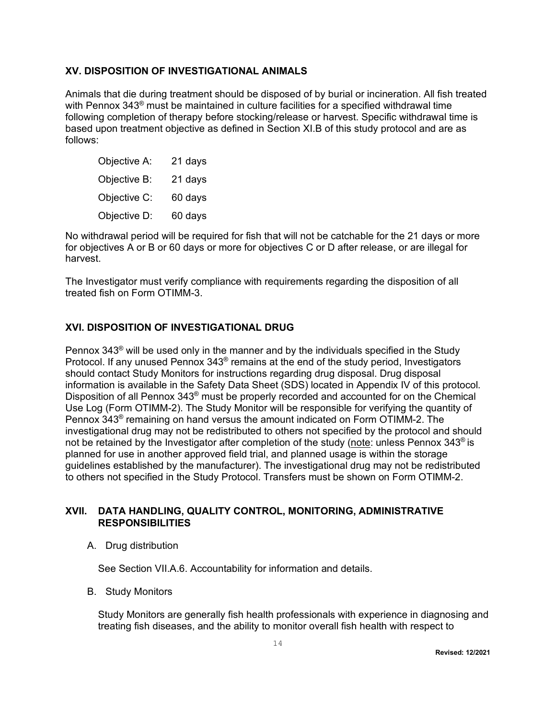### **XV. DISPOSITION OF INVESTIGATIONAL ANIMALS**

Animals that die during treatment should be disposed of by burial or incineration. All fish treated with Pennox 343<sup>®</sup> must be maintained in culture facilities for a specified withdrawal time following completion of therapy before stocking/release or harvest. Specific withdrawal time is based upon treatment objective as defined in Section XI.B of this study protocol and are as follows:

<span id="page-13-0"></span>

| Objective A: | 21 days |
|--------------|---------|
| Objective B: | 21 days |
| Objective C: | 60 days |
| Objective D: | 60 days |

No withdrawal period will be required for fish that will not be catchable for the 21 days or more for objectives A or B or 60 days or more for objectives C or D after release, or are illegal for harvest.

The Investigator must verify compliance with requirements regarding the disposition of all treated fish on Form OTIMM-3.

### <span id="page-13-1"></span>**XVI. DISPOSITION OF INVESTIGATIONAL DRUG**

Pennox  $343^{\circ}$  will be used only in the manner and by the individuals specified in the Study Protocol. If any unused Pennox 343® remains at the end of the study period, Investigators should contact Study Monitors for instructions regarding drug disposal. Drug disposal information is available in the Safety Data Sheet (SDS) located in Appendix IV of this protocol. Disposition of all Pennox 343® must be properly recorded and accounted for on the Chemical Use Log (Form OTIMM-2). The Study Monitor will be responsible for verifying the quantity of Pennox 343® remaining on hand versus the amount indicated on Form OTIMM-2. The investigational drug may not be redistributed to others not specified by the protocol and should not be retained by the Investigator after completion of the study (note: unless Pennox 343<sup>®</sup> is planned for use in another approved field trial, and planned usage is within the storage guidelines established by the manufacturer). The investigational drug may not be redistributed to others not specified in the Study Protocol. Transfers must be shown on Form OTIMM-2.

### **XVII. DATA HANDLING, QUALITY CONTROL, MONITORING, ADMINISTRATIVE RESPONSIBILITIES**

A. Drug distribution

<span id="page-13-2"></span>See Section VII.A.6. Accountability for information and details.

B. Study Monitors

Study Monitors are generally fish health professionals with experience in diagnosing and treating fish diseases, and the ability to monitor overall fish health with respect to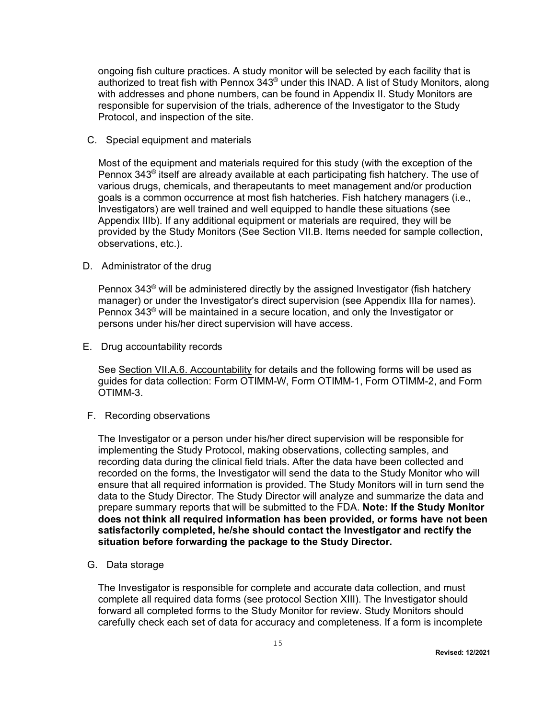ongoing fish culture practices. A study monitor will be selected by each facility that is authorized to treat fish with Pennox  $343^{\circ}$  under this INAD. A list of Study Monitors, along with addresses and phone numbers, can be found in Appendix II. Study Monitors are responsible for supervision of the trials, adherence of the Investigator to the Study Protocol, and inspection of the site.

C. Special equipment and materials

Most of the equipment and materials required for this study (with the exception of the Pennox  $343^{\circ}$  itself are already available at each participating fish hatchery. The use of various drugs, chemicals, and therapeutants to meet management and/or production goals is a common occurrence at most fish hatcheries. Fish hatchery managers (i.e., Investigators) are well trained and well equipped to handle these situations (see Appendix IIIb). If any additional equipment or materials are required, they will be provided by the Study Monitors (See Section VII.B. Items needed for sample collection, observations, etc.).

D. Administrator of the drug

Pennox  $343^{\circ}$  will be administered directly by the assigned Investigator (fish hatchery manager) or under the Investigator's direct supervision (see Appendix IIIa for names). Pennox 343® will be maintained in a secure location, and only the Investigator or persons under his/her direct supervision will have access.

E. Drug accountability records

See Section VII.A.6. Accountability for details and the following forms will be used as guides for data collection: Form OTIMM-W, Form OTIMM-1, Form OTIMM-2, and Form OTIMM-3.

F. Recording observations

The Investigator or a person under his/her direct supervision will be responsible for implementing the Study Protocol, making observations, collecting samples, and recording data during the clinical field trials. After the data have been collected and recorded on the forms, the Investigator will send the data to the Study Monitor who will ensure that all required information is provided. The Study Monitors will in turn send the data to the Study Director. The Study Director will analyze and summarize the data and prepare summary reports that will be submitted to the FDA. **Note: If the Study Monitor does not think all required information has been provided, or forms have not been satisfactorily completed, he/she should contact the Investigator and rectify the situation before forwarding the package to the Study Director.**

G. Data storage

The Investigator is responsible for complete and accurate data collection, and must complete all required data forms (see protocol Section XIII). The Investigator should forward all completed forms to the Study Monitor for review. Study Monitors should carefully check each set of data for accuracy and completeness. If a form is incomplete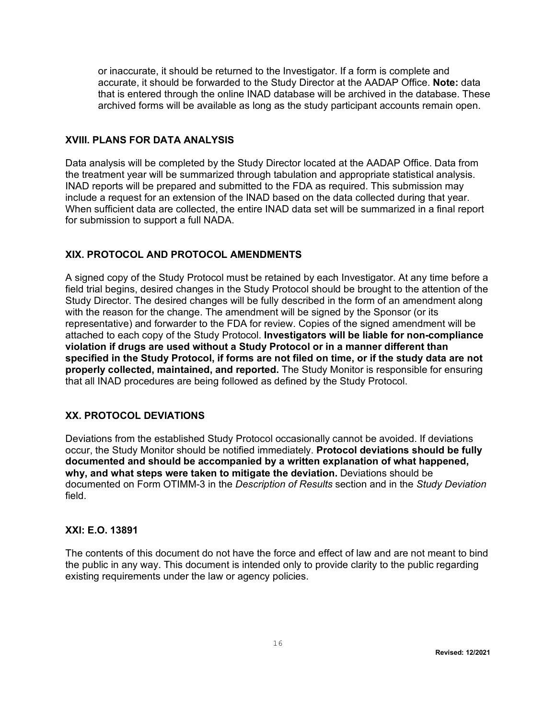<span id="page-15-0"></span>or inaccurate, it should be returned to the Investigator. If a form is complete and accurate, it should be forwarded to the Study Director at the AADAP Office. **Note:** data that is entered through the online INAD database will be archived in the database. These archived forms will be available as long as the study participant accounts remain open.

### **XVIII. PLANS FOR DATA ANALYSIS**

Data analysis will be completed by the Study Director located at the AADAP Office. Data from the treatment year will be summarized through tabulation and appropriate statistical analysis. INAD reports will be prepared and submitted to the FDA as required. This submission may include a request for an extension of the INAD based on the data collected during that year. When sufficient data are collected, the entire INAD data set will be summarized in a final report for submission to support a full NADA.

### <span id="page-15-1"></span>**XIX. PROTOCOL AND PROTOCOL AMENDMENTS**

A signed copy of the Study Protocol must be retained by each Investigator. At any time before a field trial begins, desired changes in the Study Protocol should be brought to the attention of the Study Director. The desired changes will be fully described in the form of an amendment along with the reason for the change. The amendment will be signed by the Sponsor (or its representative) and forwarder to the FDA for review. Copies of the signed amendment will be attached to each copy of the Study Protocol. **Investigators will be liable for non-compliance violation if drugs are used without a Study Protocol or in a manner different than specified in the Study Protocol, if forms are not filed on time, or if the study data are not properly collected, maintained, and reported.** The Study Monitor is responsible for ensuring that all INAD procedures are being followed as defined by the Study Protocol.

### <span id="page-15-2"></span>**XX. PROTOCOL DEVIATIONS**

Deviations from the established Study Protocol occasionally cannot be avoided. If deviations occur, the Study Monitor should be notified immediately. **Protocol deviations should be fully documented and should be accompanied by a written explanation of what happened, why, and what steps were taken to mitigate the deviation.** Deviations should be documented on Form OTIMM-3 in the *Description of Results* section and in the *Study Deviation*  field.

### <span id="page-15-3"></span>**XXI: E.O. 13891**

The contents of this document do not have the force and effect of law and are not meant to bind the public in any way. This document is intended only to provide clarity to the public regarding existing requirements under the law or agency policies.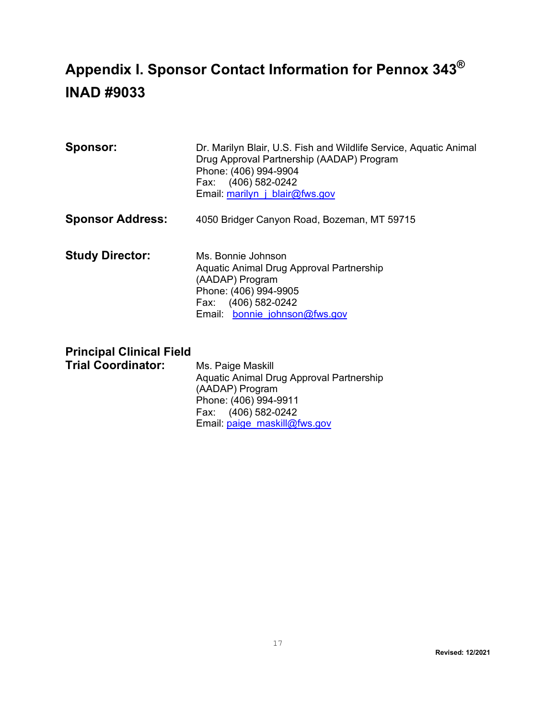## <span id="page-16-0"></span>**Appendix I. Sponsor Contact Information for Pennox 343® INAD #9033**

| <b>Sponsor:</b>         | Dr. Marilyn Blair, U.S. Fish and Wildlife Service, Aquatic Animal<br>Drug Approval Partnership (AADAP) Program<br>Phone: (406) 994-9904<br>Fax: (406) 582-0242<br>Email: marilyn j blair@fws.gov |  |  |  |
|-------------------------|--------------------------------------------------------------------------------------------------------------------------------------------------------------------------------------------------|--|--|--|
| <b>Sponsor Address:</b> | 4050 Bridger Canyon Road, Bozeman, MT 59715                                                                                                                                                      |  |  |  |

**Study Director:** Ms. Bonnie Johnson Aquatic Animal Drug Approval Partnership (AADAP) Program Phone: (406) 994-9905 Fax: (406) 582-0242 Email: bonnie johnson@fws.gov

## **Principal Clinical Field**

**Trial Coordinator:** Ms. Paige Maskill

Aquatic Animal Drug Approval Partnership (AADAP) Program Phone: (406) 994-9911 Fax: (406) 582-0242 Email: [paige\\_maskill@fws.gov](mailto:paige_maskill@fws.gov)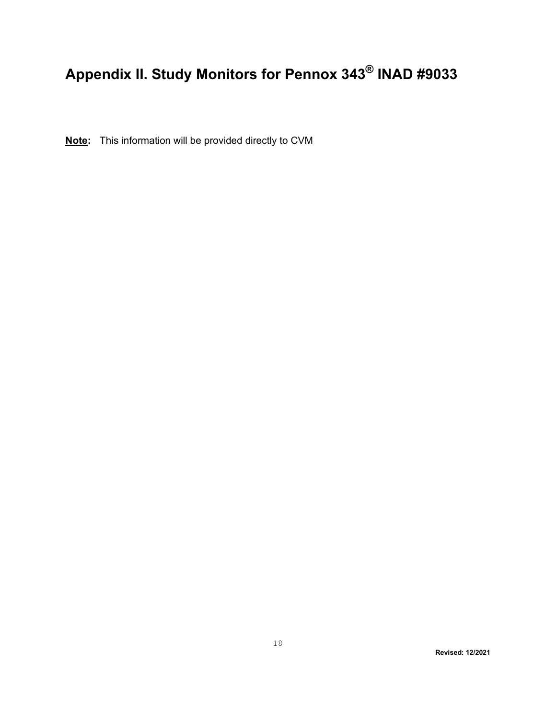# <span id="page-17-0"></span>**Appendix II. Study Monitors for Pennox 343® INAD #9033**

**Note:** This information will be provided directly to CVM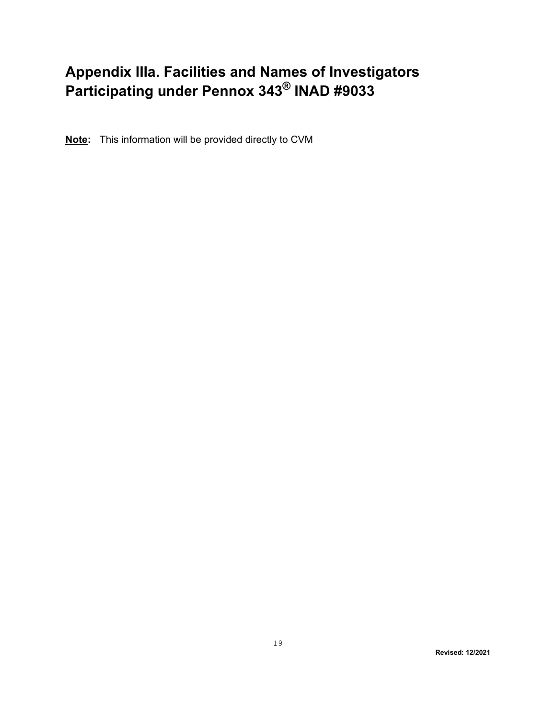## <span id="page-18-0"></span>**Appendix IIIa. Facilities and Names of Investigators Participating under Pennox 343® INAD #9033**

**Note:** This information will be provided directly to CVM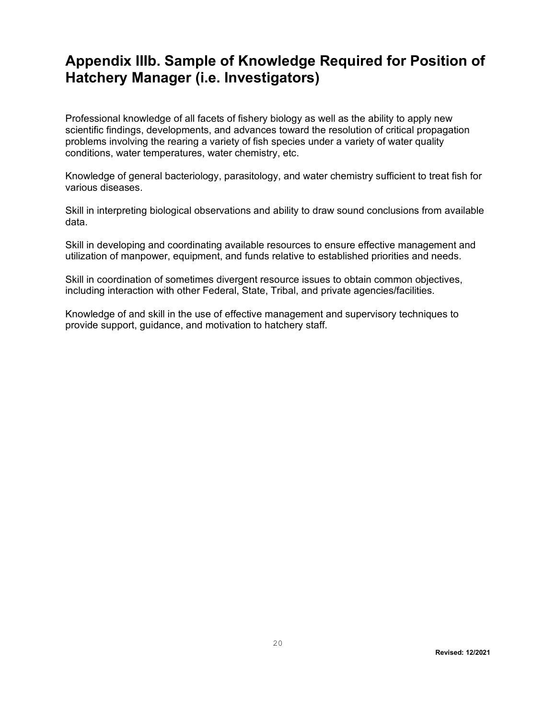## <span id="page-19-0"></span>**Appendix IIIb. Sample of Knowledge Required for Position of Hatchery Manager (i.e. Investigators)**

Professional knowledge of all facets of fishery biology as well as the ability to apply new scientific findings, developments, and advances toward the resolution of critical propagation problems involving the rearing a variety of fish species under a variety of water quality conditions, water temperatures, water chemistry, etc.

Knowledge of general bacteriology, parasitology, and water chemistry sufficient to treat fish for various diseases.

Skill in interpreting biological observations and ability to draw sound conclusions from available data.

Skill in developing and coordinating available resources to ensure effective management and utilization of manpower, equipment, and funds relative to established priorities and needs.

Skill in coordination of sometimes divergent resource issues to obtain common objectives, including interaction with other Federal, State, Tribal, and private agencies/facilities.

Knowledge of and skill in the use of effective management and supervisory techniques to provide support, guidance, and motivation to hatchery staff.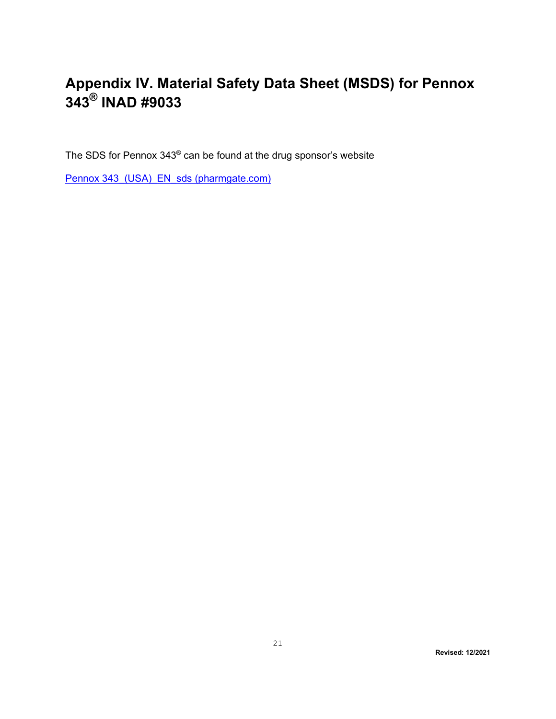## <span id="page-20-0"></span>**Appendix IV. Material Safety Data Sheet (MSDS) for Pennox 343® INAD #9033**

The SDS for Pennox 343® can be found at the drug sponsor's website

Pennox 343 (USA) EN sds (pharmgate.com)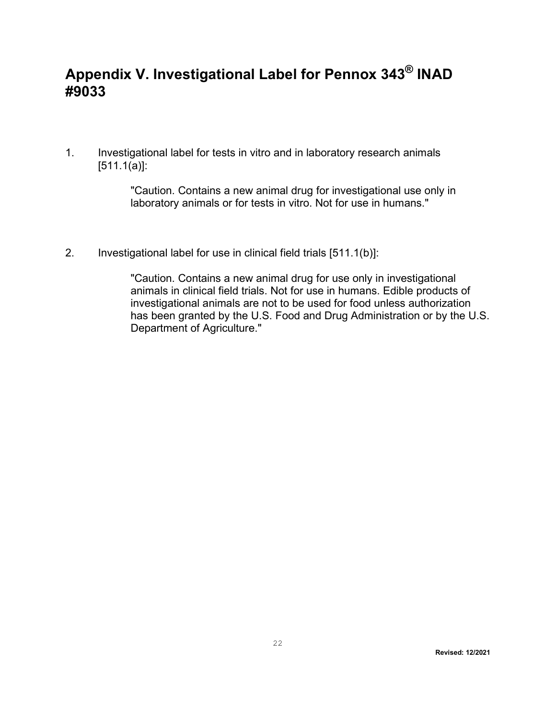## <span id="page-21-0"></span>**Appendix V. Investigational Label for Pennox 343® INAD #9033**

1. Investigational label for tests in vitro and in laboratory research animals  $[511.1(a)]$ :

> "Caution. Contains a new animal drug for investigational use only in laboratory animals or for tests in vitro. Not for use in humans."

2. Investigational label for use in clinical field trials [511.1(b)]:

"Caution. Contains a new animal drug for use only in investigational animals in clinical field trials. Not for use in humans. Edible products of investigational animals are not to be used for food unless authorization has been granted by the U.S. Food and Drug Administration or by the U.S. Department of Agriculture."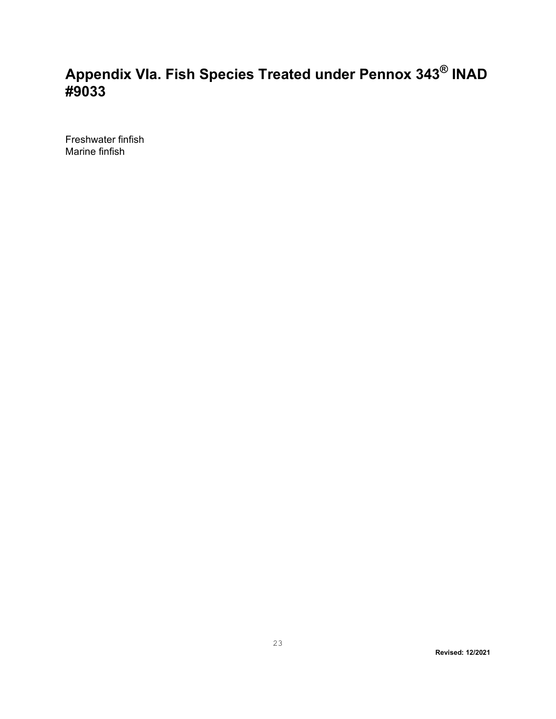## <span id="page-22-0"></span>**Appendix VIa. Fish Species Treated under Pennox 343® INAD #9033**

Freshwater finfish Marine finfish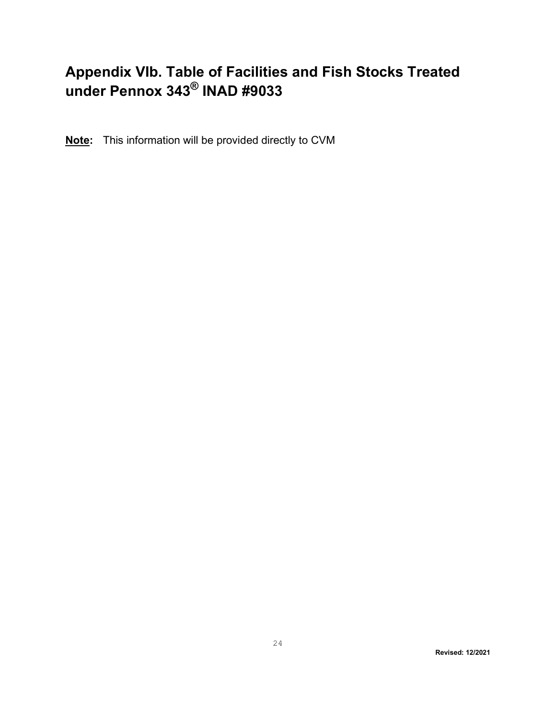## <span id="page-23-0"></span>**Appendix VIb. Table of Facilities and Fish Stocks Treated under Pennox 343® INAD #9033**

**Note:** This information will be provided directly to CVM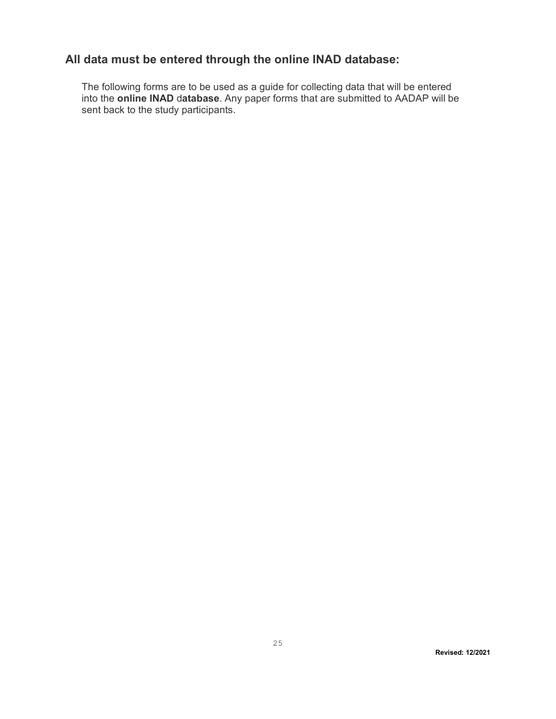## **All data must be entered through the online INAD database:**

<span id="page-24-0"></span>The following forms are to be used as a guide for collecting data that will be entered into the **online INAD** d**atabase**. Any paper forms that are submitted to AADAP will be sent back to the study participants.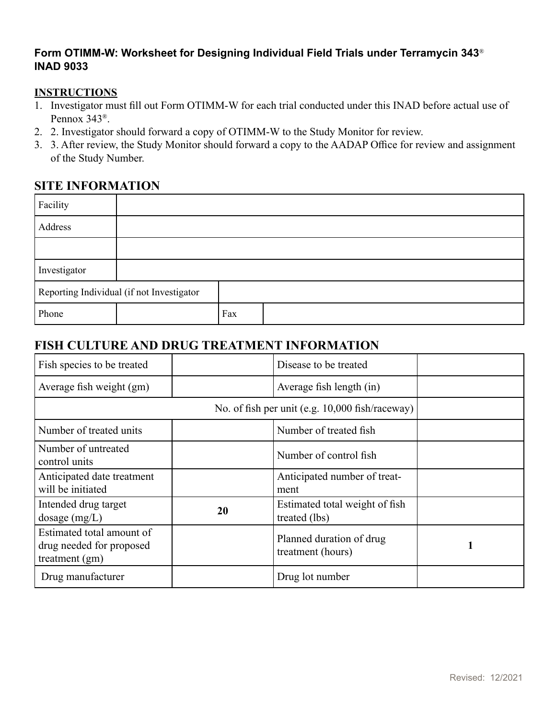### <span id="page-25-0"></span>**Form OTIMM-W: Worksheet for Designing Individual Field Trials under Terramycin 343**® **INAD 9033**

### **INSTRUCTIONS**

- 1. Investigator must fill out Form OTIMM-W for each trial conducted under this INAD before actual use of Pennox 343®.
- 2. 2. Investigator should forward a copy of OTIMM-W to the Study Monitor for review.
- 3. 3. After review, the Study Monitor should forward a copy to the AADAP Office for review and assignment of the Study Number.

## **SITE INFORMATION**

| Facility                                  |  |     |  |
|-------------------------------------------|--|-----|--|
| Address                                   |  |     |  |
|                                           |  |     |  |
| Investigator                              |  |     |  |
| Reporting Individual (if not Investigator |  |     |  |
| Phone                                     |  | Fax |  |

## **FISH CULTURE AND DRUG TREATMENT INFORMATION**

| Fish species to be treated                                                |    | Disease to be treated                           |   |
|---------------------------------------------------------------------------|----|-------------------------------------------------|---|
| Average fish weight (gm)                                                  |    | Average fish length (in)                        |   |
|                                                                           |    | No. of fish per unit (e.g. 10,000 fish/raceway) |   |
| Number of treated units                                                   |    | Number of treated fish                          |   |
| Number of untreated<br>control units                                      |    | Number of control fish                          |   |
| Anticipated date treatment<br>will be initiated                           |    | Anticipated number of treat-<br>ment            |   |
| Intended drug target<br>dosage $(mg/L)$                                   | 20 | Estimated total weight of fish<br>treated (lbs) |   |
| Estimated total amount of<br>drug needed for proposed<br>treatment $(gm)$ |    | Planned duration of drug<br>treatment (hours)   | 1 |
| Drug manufacturer                                                         |    | Drug lot number                                 |   |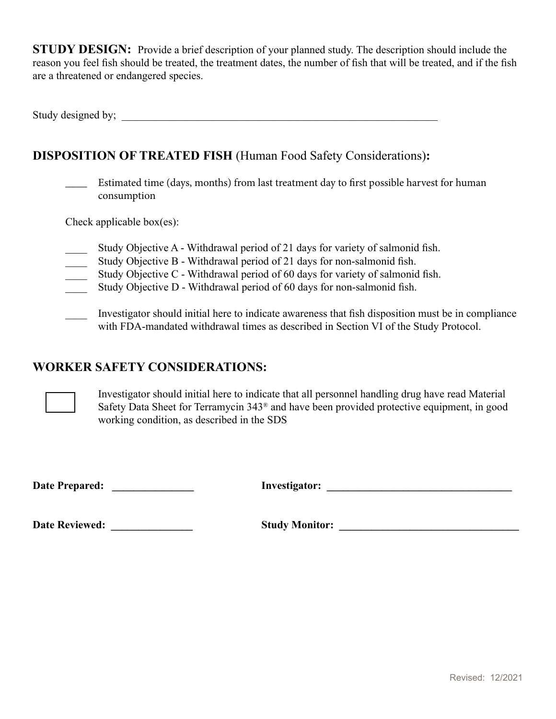**STUDY DESIGN:** Provide a brief description of your planned study. The description should include the reason you feel fish should be treated, the treatment dates, the number of fish that will be treated, and if the fish are a threatened or endangered species.

Study designed by;

## **DISPOSITION OF TREATED FISH** (Human Food Safety Considerations)**:**

\_\_\_\_ Estimated time (days, months) from last treatment day to first possible harvest for human consumption

Check applicable box(es):

- Study Objective A Withdrawal period of 21 days for variety of salmonid fish.
- \_\_\_\_ Study Objective B Withdrawal period of 21 days for non-salmonid fish.
- Study Objective C Withdrawal period of 60 days for variety of salmonid fish.
- Study Objective D Withdrawal period of 60 days for non-salmonid fish.
- \_\_\_\_ Investigator should initial here to indicate awareness that fish disposition must be in compliance with FDA-mandated withdrawal times as described in Section VI of the Study Protocol.

### **WORKER SAFETY CONSIDERATIONS:**

Investigator should initial here to indicate that all personnel handling drug have read Material Safety Data Sheet for Terramycin 343® and have been provided protective equipment, in good working condition, as described in the SDS

**Date Prepared: \_\_\_\_\_\_\_\_\_\_\_\_\_\_\_ Investigator: \_\_\_\_\_\_\_\_\_\_\_\_\_\_\_\_\_\_\_\_\_\_\_\_\_\_\_\_\_\_\_\_\_\_**

**Date Reviewed: \_\_\_\_\_\_\_\_\_\_\_\_\_\_\_ Study Monitor: \_\_\_\_\_\_\_\_\_\_\_\_\_\_\_\_\_\_\_\_\_\_\_\_\_\_\_\_\_\_\_\_\_**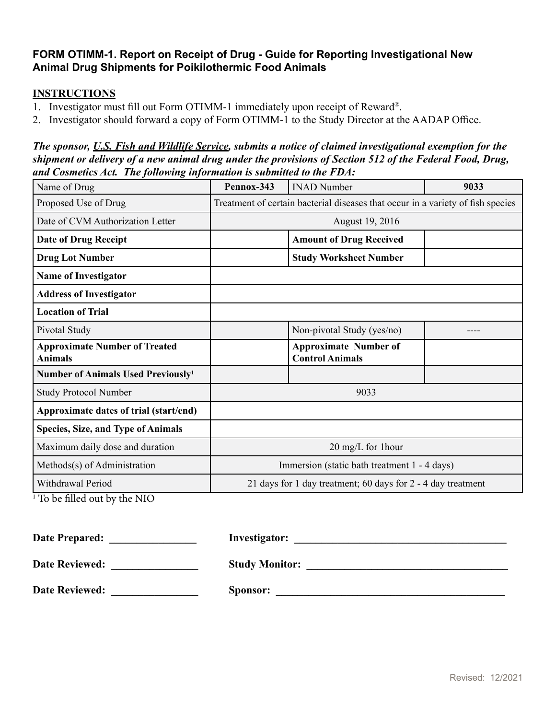### <span id="page-27-0"></span>**FORM OTIMM-1. Report on Receipt of Drug - Guide for Reporting Investigational New Animal Drug Shipments for Poikilothermic Food Animals**

### **INSTRUCTIONS**

- 1. Investigator must fill out Form OTIMM-1 immediately upon receipt of Reward®.
- 2. Investigator should forward a copy of Form OTIMM-1 to the Study Director at the AADAP Office.

### *The sponsor, U.S. Fish and Wildlife Service, submits a notice of claimed investigational exemption for the shipment or delivery of a new animal drug under the provisions of Section 512 of the Federal Food, Drug, and Cosmetics Act. The following information is submitted to the FDA:*

| Name of Drug                                           | Pennox-343                                                                      | <b>INAD Number</b>                                     | 9033 |  |  |
|--------------------------------------------------------|---------------------------------------------------------------------------------|--------------------------------------------------------|------|--|--|
| Proposed Use of Drug                                   | Treatment of certain bacterial diseases that occur in a variety of fish species |                                                        |      |  |  |
| Date of CVM Authorization Letter                       |                                                                                 | August 19, 2016                                        |      |  |  |
| <b>Date of Drug Receipt</b>                            |                                                                                 | <b>Amount of Drug Received</b>                         |      |  |  |
| <b>Drug Lot Number</b>                                 |                                                                                 | <b>Study Worksheet Number</b>                          |      |  |  |
| <b>Name of Investigator</b>                            |                                                                                 |                                                        |      |  |  |
| <b>Address of Investigator</b>                         |                                                                                 |                                                        |      |  |  |
| <b>Location of Trial</b>                               |                                                                                 |                                                        |      |  |  |
| Pivotal Study                                          |                                                                                 | Non-pivotal Study (yes/no)                             |      |  |  |
| <b>Approximate Number of Treated</b><br><b>Animals</b> |                                                                                 | <b>Approximate Number of</b><br><b>Control Animals</b> |      |  |  |
| Number of Animals Used Previously <sup>1</sup>         |                                                                                 |                                                        |      |  |  |
| <b>Study Protocol Number</b>                           |                                                                                 | 9033                                                   |      |  |  |
| Approximate dates of trial (start/end)                 |                                                                                 |                                                        |      |  |  |
| <b>Species, Size, and Type of Animals</b>              |                                                                                 |                                                        |      |  |  |
| Maximum daily dose and duration                        | 20 mg/L for 1 hour                                                              |                                                        |      |  |  |
| Methods(s) of Administration                           | Immersion (static bath treatment 1 - 4 days)                                    |                                                        |      |  |  |
| Withdrawal Period                                      | 21 days for 1 day treatment; 60 days for 2 - 4 day treatment                    |                                                        |      |  |  |

1 To be filled out by the NIO

| <b>Date Prepared:</b> | <b>Investigator:</b>  |
|-----------------------|-----------------------|
| <b>Date Reviewed:</b> | <b>Study Monitor:</b> |
| <b>Date Reviewed:</b> | Sponsor:              |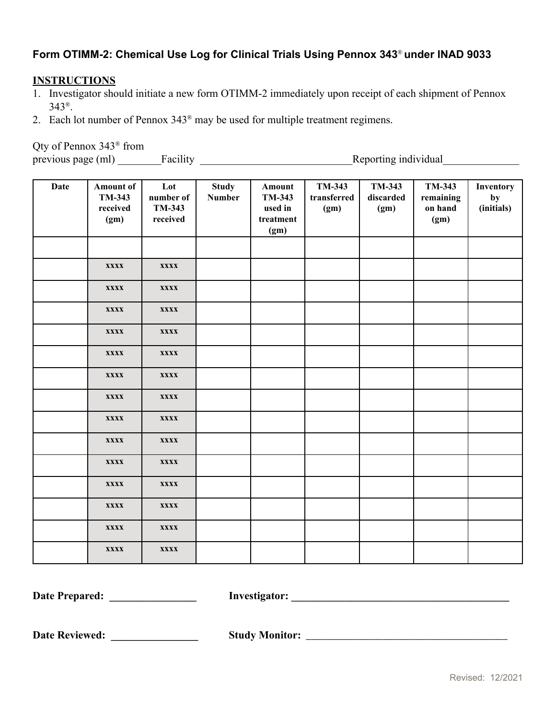## <span id="page-28-0"></span>**Form OTIMM-2: Chemical Use Log for Clinical Trials Using Pennox 343**® **under INAD 9033**

### **INSTRUCTIONS**

- 1. Investigator should initiate a new form OTIMM-2 immediately upon receipt of each shipment of Pennox 343®.
- 2. Each lot number of Pennox 343® may be used for multiple treatment regimens.

Qty of Pennox 343® from

previous page (ml) \_\_\_\_\_\_\_\_Facility \_\_\_\_\_\_\_\_\_\_\_\_\_\_\_\_\_\_\_\_\_\_\_\_\_\_\_\_Reporting individual\_\_\_\_\_\_\_\_\_\_\_\_\_\_

| <b>Date</b> | <b>Amount of</b><br>TM-343<br>received<br>(gm) | Lot<br>number of<br><b>TM-343</b><br>received | <b>Study</b><br><b>Number</b> | Amount<br>TM-343<br>used in<br>treatment<br>(gm) | TM-343<br>transferred<br>(gm) | TM-343<br>discarded<br>(gm) | TM-343<br>remaining<br>on hand<br>(gm) | Inventory<br>by<br>(initials) |
|-------------|------------------------------------------------|-----------------------------------------------|-------------------------------|--------------------------------------------------|-------------------------------|-----------------------------|----------------------------------------|-------------------------------|
|             |                                                |                                               |                               |                                                  |                               |                             |                                        |                               |
|             | <b>XXXX</b>                                    | <b>XXXX</b>                                   |                               |                                                  |                               |                             |                                        |                               |
|             | <b>XXXX</b>                                    | <b>XXXX</b>                                   |                               |                                                  |                               |                             |                                        |                               |
|             | <b>XXXX</b>                                    | <b>XXXX</b>                                   |                               |                                                  |                               |                             |                                        |                               |
|             | <b>XXXX</b>                                    | <b>XXXX</b>                                   |                               |                                                  |                               |                             |                                        |                               |
|             | <b>XXXX</b>                                    | <b>XXXX</b>                                   |                               |                                                  |                               |                             |                                        |                               |
|             | <b>XXXX</b>                                    | <b>XXXX</b>                                   |                               |                                                  |                               |                             |                                        |                               |
|             | <b>XXXX</b>                                    | <b>XXXX</b>                                   |                               |                                                  |                               |                             |                                        |                               |
|             | <b>XXXX</b>                                    | <b>XXXX</b>                                   |                               |                                                  |                               |                             |                                        |                               |
|             | <b>XXXX</b>                                    | <b>XXXX</b>                                   |                               |                                                  |                               |                             |                                        |                               |
|             | <b>XXXX</b>                                    | <b>XXXX</b>                                   |                               |                                                  |                               |                             |                                        |                               |
|             | <b>XXXX</b>                                    | <b>XXXX</b>                                   |                               |                                                  |                               |                             |                                        |                               |
|             | <b>XXXX</b>                                    | <b>XXXX</b>                                   |                               |                                                  |                               |                             |                                        |                               |
|             | <b>XXXX</b>                                    | <b>XXXX</b>                                   |                               |                                                  |                               |                             |                                        |                               |
|             | <b>XXXX</b>                                    | <b>XXXX</b>                                   |                               |                                                  |                               |                             |                                        |                               |

**Date Prepared: \_\_\_\_\_\_\_\_\_\_\_\_\_\_\_\_ Investigator: \_\_\_\_\_\_\_\_\_\_\_\_\_\_\_\_\_\_\_\_\_\_\_\_\_\_\_\_\_\_\_\_\_\_\_\_\_\_\_\_**

**Date Reviewed: \_\_\_\_\_\_\_\_\_\_\_\_\_\_\_\_ Study Monitor:** \_\_\_\_\_\_\_\_\_\_\_\_\_\_\_\_\_\_\_\_\_\_\_\_\_\_\_\_\_\_\_\_\_\_\_\_\_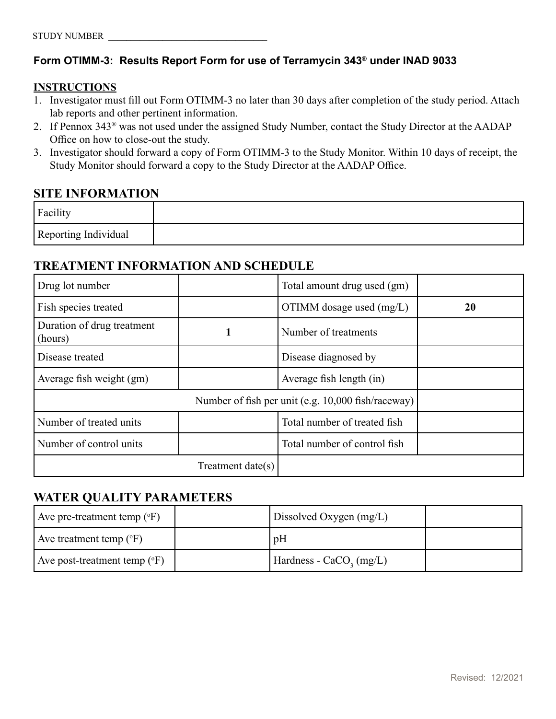### <span id="page-29-0"></span>**Form OTIMM-3: Results Report Form for use of Terramycin 343® under INAD 9033**

### **INSTRUCTIONS**

- 1. Investigator must fill out Form OTIMM-3 no later than 30 days after completion of the study period. Attach lab reports and other pertinent information.
- 2. If Pennox 343® was not used under the assigned Study Number, contact the Study Director at the AADAP Office on how to close-out the study.
- 3. Investigator should forward a copy of Form OTIMM-3 to the Study Monitor. Within 10 days of receipt, the Study Monitor should forward a copy to the Study Director at the AADAP Office.

### **SITE INFORMATION**

| Facility             |  |
|----------------------|--|
| Reporting Individual |  |

## **TREATMENT INFORMATION AND SCHEDULE**

| Drug lot number                       |                      | Total amount drug used (gm)                        |    |
|---------------------------------------|----------------------|----------------------------------------------------|----|
| Fish species treated                  |                      | OTIMM dosage used (mg/L)                           | 20 |
| Duration of drug treatment<br>(hours) |                      | Number of treatments                               |    |
| Disease treated                       |                      | Disease diagnosed by                               |    |
| Average fish weight (gm)              |                      | Average fish length (in)                           |    |
|                                       |                      | Number of fish per unit (e.g. 10,000 fish/raceway) |    |
| Number of treated units               |                      | Total number of treated fish                       |    |
| Number of control units               |                      | Total number of control fish                       |    |
|                                       | Treatment date $(s)$ |                                                    |    |

### **WATER QUALITY PARAMETERS**

| Ave pre-treatment temp $({}^{\circ}F)$  | Dissolved Oxygen $(mg/L)$ |  |
|-----------------------------------------|---------------------------|--|
| Ave treatment temp $({}^{\circ}F)$      | pH                        |  |
| Ave post-treatment temp $({}^{\circ}F)$ | Hardness - $CaCO3 (mg/L)$ |  |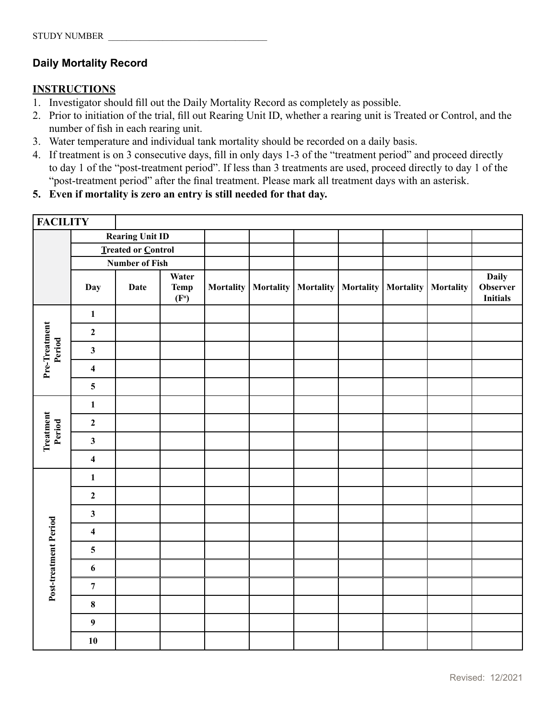### **Daily Mortality Record**

### **INSTRUCTIONS**

- 1. Investigator should fill out the Daily Mortality Record as completely as possible.
- 2. Prior to initiation of the trial, fill out Rearing Unit ID, whether a rearing unit is Treated or Control, and the number of fish in each rearing unit.
- 3. Water temperature and individual tank mortality should be recorded on a daily basis.
- 4. If treatment is on 3 consecutive days, fill in only days 1-3 of the "treatment period" and proceed directly to day 1 of the "post-treatment period". If less than 3 treatments are used, proceed directly to day 1 of the "post-treatment period" after the final treatment. Please mark all treatment days with an asterisk.
- **5. Even if mortality is zero an entry is still needed for that day.**

| <b>FACILITY</b>         |                                             |                        |                                           |                  |           |           |           |           |           |                                                    |
|-------------------------|---------------------------------------------|------------------------|-------------------------------------------|------------------|-----------|-----------|-----------|-----------|-----------|----------------------------------------------------|
|                         |                                             | <b>Rearing Unit ID</b> |                                           |                  |           |           |           |           |           |                                                    |
|                         | Treated or Control<br><b>Number of Fish</b> |                        |                                           |                  |           |           |           |           |           |                                                    |
|                         |                                             |                        |                                           |                  |           |           |           |           |           |                                                    |
|                         | Day                                         | <b>Date</b>            | Water<br><b>Temp</b><br>(F <sup>0</sup> ) | <b>Mortality</b> | Mortality | Mortality | Mortality | Mortality | Mortality | <b>Daily</b><br><b>Observer</b><br><b>Initials</b> |
| Pre-Treatment<br>Period | $\mathbf{1}$                                |                        |                                           |                  |           |           |           |           |           |                                                    |
|                         | $\mathbf{2}$                                |                        |                                           |                  |           |           |           |           |           |                                                    |
|                         | $\mathbf{3}$                                |                        |                                           |                  |           |           |           |           |           |                                                    |
|                         | $\overline{\mathbf{4}}$                     |                        |                                           |                  |           |           |           |           |           |                                                    |
|                         | $\overline{\mathbf{5}}$                     |                        |                                           |                  |           |           |           |           |           |                                                    |
| Treatment<br>Period     | $\mathbf{1}$                                |                        |                                           |                  |           |           |           |           |           |                                                    |
|                         | $\mathbf{2}$                                |                        |                                           |                  |           |           |           |           |           |                                                    |
|                         | $\mathbf{3}$                                |                        |                                           |                  |           |           |           |           |           |                                                    |
|                         | $\overline{\mathbf{4}}$                     |                        |                                           |                  |           |           |           |           |           |                                                    |
| Post-treatment Period   | $\mathbf{1}$                                |                        |                                           |                  |           |           |           |           |           |                                                    |
|                         | $\mathbf 2$                                 |                        |                                           |                  |           |           |           |           |           |                                                    |
|                         | $\mathbf{3}$                                |                        |                                           |                  |           |           |           |           |           |                                                    |
|                         | $\overline{\mathbf{4}}$                     |                        |                                           |                  |           |           |           |           |           |                                                    |
|                         | ${\bf 5}$                                   |                        |                                           |                  |           |           |           |           |           |                                                    |
|                         | $\boldsymbol{6}$                            |                        |                                           |                  |           |           |           |           |           |                                                    |
|                         | $\boldsymbol{7}$                            |                        |                                           |                  |           |           |           |           |           |                                                    |
|                         | $\pmb{8}$                                   |                        |                                           |                  |           |           |           |           |           |                                                    |
|                         | $\boldsymbol{9}$                            |                        |                                           |                  |           |           |           |           |           |                                                    |
|                         | 10                                          |                        |                                           |                  |           |           |           |           |           |                                                    |